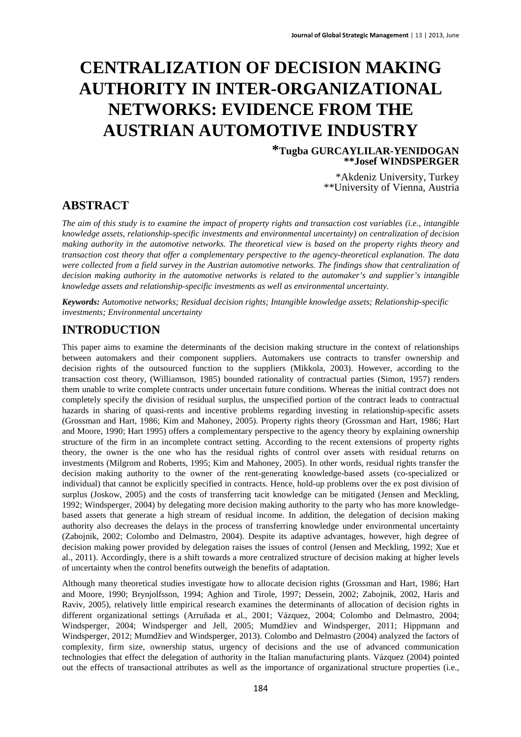# **CENTRALIZATION OF DECISION MAKING AUTHORITY IN INTER-ORGANIZATIONAL NETWORKS: EVIDENCE FROM THE AUSTRIAN AUTOMOTIVE INDUSTRY**

**\*Tugba GURCAYLILAR-YENIDOGAN \*\*Josef WINDSPERGER** 

> \*Akdeniz University, Turkey \*\*University of Vienna, Austria

### **ABSTRACT**

*The aim of this study is to examine the impact of property rights and transaction cost variables (i.e., intangible knowledge assets, relationship-specific investments and environmental uncertainty) on centralization of decision making authority in the automotive networks. The theoretical view is based on the property rights theory and transaction cost theory that offer a complementary perspective to the agency-theoretical explanation. The data were collected from a field survey in the Austrian automotive networks. The findings show that centralization of decision making authority in the automotive networks is related to the automaker's and supplier's intangible knowledge assets and relationship-specific investments as well as environmental uncertainty.* 

*Keywords: Automotive networks; Residual decision rights; Intangible knowledge assets; Relationship-specific investments; Environmental uncertainty*

### **INTRODUCTION**

This paper aims to examine the determinants of the decision making structure in the context of relationships between automakers and their component suppliers. Automakers use contracts to transfer ownership and decision rights of the outsourced function to the suppliers (Mikkola, 2003). However, according to the transaction cost theory, (Williamson, 1985) bounded rationality of contractual parties (Simon, 1957) renders them unable to write complete contracts under uncertain future conditions. Whereas the initial contract does not completely specify the division of residual surplus, the unspecified portion of the contract leads to contractual hazards in sharing of quasi-rents and incentive problems regarding investing in relationship-specific assets (Grossman and Hart, 1986; Kim and Mahoney, 2005). Property rights theory (Grossman and Hart, 1986; Hart and Moore, 1990; Hart 1995) offers a complementary perspective to the agency theory by explaining ownership structure of the firm in an incomplete contract setting. According to the recent extensions of property rights theory, the owner is the one who has the residual rights of control over assets with residual returns on investments (Milgrom and Roberts, 1995; Kim and Mahoney, 2005). In other words, residual rights transfer the decision making authority to the owner of the rent-generating knowledge-based assets (co-specialized or individual) that cannot be explicitly specified in contracts. Hence, hold-up problems over the ex post division of surplus (Joskow, 2005) and the costs of transferring tacit knowledge can be mitigated (Jensen and Meckling, 1992; Windsperger, 2004) by delegating more decision making authority to the party who has more knowledgebased assets that generate a high stream of residual income. In addition, the delegation of decision making authority also decreases the delays in the process of transferring knowledge under environmental uncertainty (Zabojnik, 2002; Colombo and Delmastro, 2004). Despite its adaptive advantages, however, high degree of decision making power provided by delegation raises the issues of control (Jensen and Meckling, 1992; Xue et al., 2011). Accordingly, there is a shift towards a more centralized structure of decision making at higher levels of uncertainty when the control benefits outweigh the benefits of adaptation.

Although many theoretical studies investigate how to allocate decision rights (Grossman and Hart, 1986; Hart and Moore, 1990; Brynjolfsson, 1994; Aghion and Tirole, 1997; Dessein, 2002; Zabojnik, 2002, Haris and Raviv, 2005), relatively little empirical research examines the determinants of allocation of decision rights in different organizational settings (Arruñada et al., 2001; Vázquez, 2004; Colombo and Delmastro, 2004; Windsperger, 2004; Windsperger and Jell, 2005; Mumdžiev and Windsperger, 2011; Hippmann and Windsperger, 2012; Mumdžiev and Windsperger, 2013). Colombo and Delmastro (2004) analyzed the factors of complexity, firm size, ownership status, urgency of decisions and the use of advanced communication technologies that effect the delegation of authority in the Italian manufacturing plants. Vázquez (2004) pointed out the effects of transactional attributes as well as the importance of organizational structure properties (i.e.,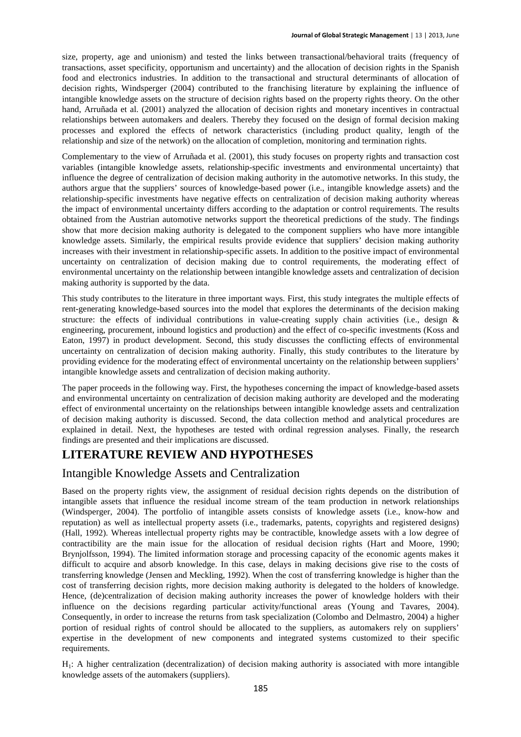size, property, age and unionism) and tested the links between transactional/behavioral traits (frequency of transactions, asset specificity, opportunism and uncertainty) and the allocation of decision rights in the Spanish food and electronics industries. In addition to the transactional and structural determinants of allocation of decision rights, Windsperger (2004) contributed to the franchising literature by explaining the influence of intangible knowledge assets on the structure of decision rights based on the property rights theory. On the other hand, Arruñada et al. (2001) analyzed the allocation of decision rights and monetary incentives in contractual relationships between automakers and dealers. Thereby they focused on the design of formal decision making processes and explored the effects of network characteristics (including product quality, length of the relationship and size of the network) on the allocation of completion, monitoring and termination rights.

Complementary to the view of Arruñada et al. (2001), this study focuses on property rights and transaction cost variables (intangible knowledge assets, relationship-specific investments and environmental uncertainty) that influence the degree of centralization of decision making authority in the automotive networks. In this study, the authors argue that the suppliers' sources of knowledge-based power (i.e., intangible knowledge assets) and the relationship-specific investments have negative effects on centralization of decision making authority whereas the impact of environmental uncertainty differs according to the adaptation or control requirements. The results obtained from the Austrian automotive networks support the theoretical predictions of the study. The findings show that more decision making authority is delegated to the component suppliers who have more intangible knowledge assets. Similarly, the empirical results provide evidence that suppliers' decision making authority increases with their investment in relationship-specific assets. In addition to the positive impact of environmental uncertainty on centralization of decision making due to control requirements, the moderating effect of environmental uncertainty on the relationship between intangible knowledge assets and centralization of decision making authority is supported by the data.

This study contributes to the literature in three important ways. First, this study integrates the multiple effects of rent-generating knowledge-based sources into the model that explores the determinants of the decision making structure: the effects of individual contributions in value-creating supply chain activities (i.e., design  $\&$ engineering, procurement, inbound logistics and production) and the effect of co-specific investments (Koss and Eaton, 1997) in product development. Second, this study discusses the conflicting effects of environmental uncertainty on centralization of decision making authority. Finally, this study contributes to the literature by providing evidence for the moderating effect of environmental uncertainty on the relationship between suppliers' intangible knowledge assets and centralization of decision making authority.

The paper proceeds in the following way. First, the hypotheses concerning the impact of knowledge-based assets and environmental uncertainty on centralization of decision making authority are developed and the moderating effect of environmental uncertainty on the relationships between intangible knowledge assets and centralization of decision making authority is discussed. Second, the data collection method and analytical procedures are explained in detail. Next, the hypotheses are tested with ordinal regression analyses. Finally, the research findings are presented and their implications are discussed.

### **LITERATURE REVIEW AND HYPOTHESES**

### Intangible Knowledge Assets and Centralization

Based on the property rights view, the assignment of residual decision rights depends on the distribution of intangible assets that influence the residual income stream of the team production in network relationships (Windsperger, 2004). The portfolio of intangible assets consists of knowledge assets (i.e., know-how and reputation) as well as intellectual property assets (i.e., trademarks, patents, copyrights and registered designs) (Hall, 1992). Whereas intellectual property rights may be contractible, knowledge assets with a low degree of contractibility are the main issue for the allocation of residual decision rights (Hart and Moore, 1990; Brynjolfsson, 1994). The limited information storage and processing capacity of the economic agents makes it difficult to acquire and absorb knowledge. In this case, delays in making decisions give rise to the costs of transferring knowledge (Jensen and Meckling, 1992). When the cost of transferring knowledge is higher than the cost of transferring decision rights, more decision making authority is delegated to the holders of knowledge. Hence, (de)centralization of decision making authority increases the power of knowledge holders with their influence on the decisions regarding particular activity/functional areas (Young and Tavares, 2004). Consequently, in order to increase the returns from task specialization (Colombo and Delmastro, 2004) a higher portion of residual rights of control should be allocated to the suppliers, as automakers rely on suppliers' expertise in the development of new components and integrated systems customized to their specific requirements.

H1: A higher centralization (decentralization) of decision making authority is associated with more intangible knowledge assets of the automakers (suppliers).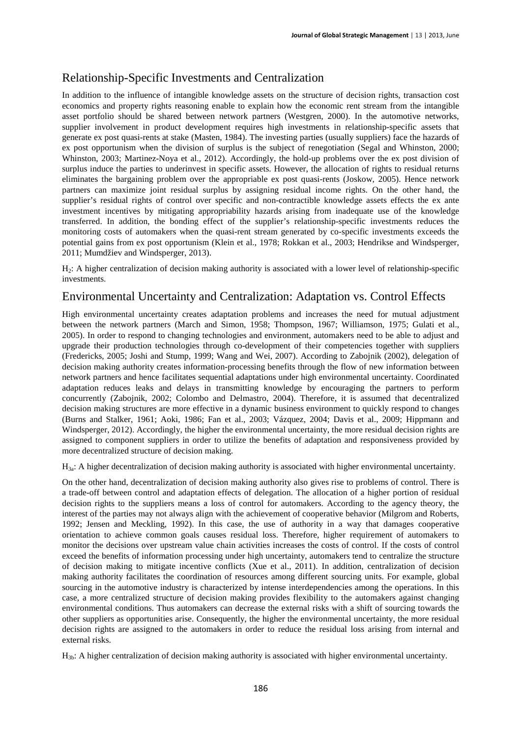## Relationship-Specific Investments and Centralization

In addition to the influence of intangible knowledge assets on the structure of decision rights, transaction cost economics and property rights reasoning enable to explain how the economic rent stream from the intangible asset portfolio should be shared between network partners (Westgren, 2000). In the automotive networks, supplier involvement in product development requires high investments in relationship-specific assets that generate ex post quasi-rents at stake (Masten, 1984). The investing parties (usually suppliers) face the hazards of ex post opportunism when the division of surplus is the subject of renegotiation (Segal and Whinston, 2000; Whinston, 2003; Martinez-Noya et al., 2012). Accordingly, the hold-up problems over the ex post division of surplus induce the parties to underinvest in specific assets. However, the allocation of rights to residual returns eliminates the bargaining problem over the appropriable ex post quasi-rents (Joskow, 2005). Hence network partners can maximize joint residual surplus by assigning residual income rights. On the other hand, the supplier's residual rights of control over specific and non-contractible knowledge assets effects the ex ante investment incentives by mitigating appropriability hazards arising from inadequate use of the knowledge transferred. In addition, the bonding effect of the supplier's relationship-specific investments reduces the monitoring costs of automakers when the quasi-rent stream generated by co-specific investments exceeds the potential gains from ex post opportunism (Klein et al., 1978; Rokkan et al., 2003; Hendrikse and Windsperger, 2011; Mumdžiev and Windsperger, 2013).

H2: A higher centralization of decision making authority is associated with a lower level of relationship-specific investments.

### Environmental Uncertainty and Centralization: Adaptation vs. Control Effects

High environmental uncertainty creates adaptation problems and increases the need for mutual adjustment between the network partners (March and Simon, 1958; Thompson, 1967; Williamson, 1975; Gulati et al., 2005). In order to respond to changing technologies and environment, automakers need to be able to adjust and upgrade their production technologies through co-development of their competencies together with suppliers (Fredericks, 2005; Joshi and Stump, 1999; Wang and Wei, 2007). According to Zabojnik (2002), delegation of decision making authority creates information-processing benefits through the flow of new information between network partners and hence facilitates sequential adaptations under high environmental uncertainty. Coordinated adaptation reduces leaks and delays in transmitting knowledge by encouraging the partners to perform concurrently (Zabojnik, 2002; Colombo and Delmastro, 2004). Therefore, it is assumed that decentralized decision making structures are more effective in a dynamic business environment to quickly respond to changes (Burns and Stalker, 1961; Aoki, 1986; Fan et al., 2003; Vázquez, 2004; Davis et al., 2009; Hippmann and Windsperger, 2012). Accordingly, the higher the environmental uncertainty, the more residual decision rights are assigned to component suppliers in order to utilize the benefits of adaptation and responsiveness provided by more decentralized structure of decision making.

H3a: A higher decentralization of decision making authority is associated with higher environmental uncertainty.

On the other hand, decentralization of decision making authority also gives rise to problems of control. There is a trade-off between control and adaptation effects of delegation. The allocation of a higher portion of residual decision rights to the suppliers means a loss of control for automakers. According to the agency theory, the interest of the parties may not always align with the achievement of cooperative behavior (Milgrom and Roberts, 1992; Jensen and Meckling, 1992). In this case, the use of authority in a way that damages cooperative orientation to achieve common goals causes residual loss. Therefore, higher requirement of automakers to monitor the decisions over upstream value chain activities increases the costs of control. If the costs of control exceed the benefits of information processing under high uncertainty, automakers tend to centralize the structure of decision making to mitigate incentive conflicts (Xue et al., 2011). In addition, centralization of decision making authority facilitates the coordination of resources among different sourcing units. For example, global sourcing in the automotive industry is characterized by intense interdependencies among the operations. In this case, a more centralized structure of decision making provides flexibility to the automakers against changing environmental conditions. Thus automakers can decrease the external risks with a shift of sourcing towards the other suppliers as opportunities arise. Consequently, the higher the environmental uncertainty, the more residual decision rights are assigned to the automakers in order to reduce the residual loss arising from internal and external risks.

 $H_{3b}$ : A higher centralization of decision making authority is associated with higher environmental uncertainty.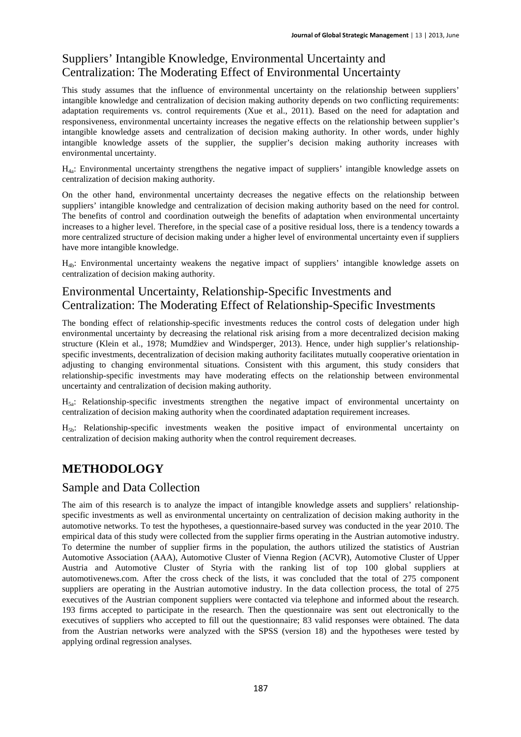# Suppliers' Intangible Knowledge, Environmental Uncertainty and Centralization: The Moderating Effect of Environmental Uncertainty

This study assumes that the influence of environmental uncertainty on the relationship between suppliers' intangible knowledge and centralization of decision making authority depends on two conflicting requirements: adaptation requirements vs. control requirements (Xue et al., 2011). Based on the need for adaptation and responsiveness, environmental uncertainty increases the negative effects on the relationship between supplier's intangible knowledge assets and centralization of decision making authority. In other words, under highly intangible knowledge assets of the supplier, the supplier's decision making authority increases with environmental uncertainty.

H4a: Environmental uncertainty strengthens the negative impact of suppliers' intangible knowledge assets on centralization of decision making authority.

On the other hand, environmental uncertainty decreases the negative effects on the relationship between suppliers' intangible knowledge and centralization of decision making authority based on the need for control. The benefits of control and coordination outweigh the benefits of adaptation when environmental uncertainty increases to a higher level. Therefore, in the special case of a positive residual loss, there is a tendency towards a more centralized structure of decision making under a higher level of environmental uncertainty even if suppliers have more intangible knowledge.

H4b: Environmental uncertainty weakens the negative impact of suppliers' intangible knowledge assets on centralization of decision making authority.

### Environmental Uncertainty, Relationship-Specific Investments and Centralization: The Moderating Effect of Relationship-Specific Investments

The bonding effect of relationship-specific investments reduces the control costs of delegation under high environmental uncertainty by decreasing the relational risk arising from a more decentralized decision making structure (Klein et al., 1978; Mumdžiev and Windsperger, 2013). Hence, under high supplier's relationshipspecific investments, decentralization of decision making authority facilitates mutually cooperative orientation in adjusting to changing environmental situations. Consistent with this argument, this study considers that relationship-specific investments may have moderating effects on the relationship between environmental uncertainty and centralization of decision making authority.

H5a: Relationship-specific investments strengthen the negative impact of environmental uncertainty on centralization of decision making authority when the coordinated adaptation requirement increases.

H5b: Relationship-specific investments weaken the positive impact of environmental uncertainty on centralization of decision making authority when the control requirement decreases.

# **METHODOLOGY**

### Sample and Data Collection

The aim of this research is to analyze the impact of intangible knowledge assets and suppliers' relationshipspecific investments as well as environmental uncertainty on centralization of decision making authority in the automotive networks. To test the hypotheses, a questionnaire-based survey was conducted in the year 2010. The empirical data of this study were collected from the supplier firms operating in the Austrian automotive industry. To determine the number of supplier firms in the population, the authors utilized the statistics of Austrian Automotive Association (AAA), Automotive Cluster of Vienna Region (ACVR), Automotive Cluster of Upper Austria and Automotive Cluster of Styria with the ranking list of top 100 global suppliers at automotivenews.com. After the cross check of the lists, it was concluded that the total of 275 component suppliers are operating in the Austrian automotive industry. In the data collection process, the total of 275 executives of the Austrian component suppliers were contacted via telephone and informed about the research. 193 firms accepted to participate in the research. Then the questionnaire was sent out electronically to the executives of suppliers who accepted to fill out the questionnaire; 83 valid responses were obtained. The data from the Austrian networks were analyzed with the SPSS (version 18) and the hypotheses were tested by applying ordinal regression analyses.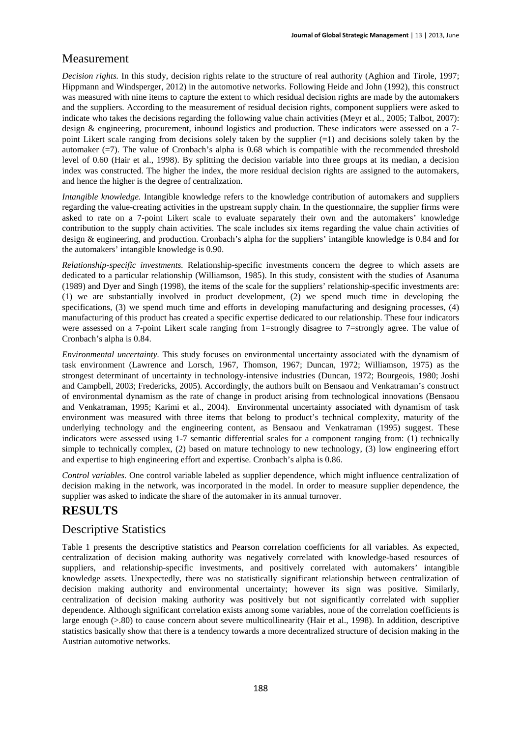### Measurement

*Decision rights.* In this study, decision rights relate to the structure of real authority (Aghion and Tirole, 1997; Hippmann and Windsperger, 2012) in the automotive networks. Following Heide and John (1992), this construct was measured with nine items to capture the extent to which residual decision rights are made by the automakers and the suppliers. According to the measurement of residual decision rights, component suppliers were asked to indicate who takes the decisions regarding the following value chain activities (Meyr et al., 2005; Talbot, 2007): design & engineering, procurement, inbound logistics and production. These indicators were assessed on a 7 point Likert scale ranging from decisions solely taken by the supplier (=1) and decisions solely taken by the automaker (=7). The value of Cronbach's alpha is 0.68 which is compatible with the recommended threshold level of 0.60 (Hair et al., 1998). By splitting the decision variable into three groups at its median, a decision index was constructed. The higher the index, the more residual decision rights are assigned to the automakers, and hence the higher is the degree of centralization.

*Intangible knowledge.* Intangible knowledge refers to the knowledge contribution of automakers and suppliers regarding the value-creating activities in the upstream supply chain. In the questionnaire, the supplier firms were asked to rate on a 7-point Likert scale to evaluate separately their own and the automakers' knowledge contribution to the supply chain activities. The scale includes six items regarding the value chain activities of design & engineering, and production. Cronbach's alpha for the suppliers' intangible knowledge is 0.84 and for the automakers' intangible knowledge is 0.90.

*Relationship-specific investments.* Relationship-specific investments concern the degree to which assets are dedicated to a particular relationship (Williamson, 1985). In this study, consistent with the studies of Asanuma (1989) and Dyer and Singh (1998), the items of the scale for the suppliers' relationship-specific investments are: (1) we are substantially involved in product development, (2) we spend much time in developing the specifications, (3) we spend much time and efforts in developing manufacturing and designing processes, (4) manufacturing of this product has created a specific expertise dedicated to our relationship. These four indicators were assessed on a 7-point Likert scale ranging from 1=strongly disagree to 7=strongly agree. The value of Cronbach's alpha is 0.84.

*Environmental uncertainty.* This study focuses on environmental uncertainty associated with the dynamism of task environment (Lawrence and Lorsch, 1967, Thomson, 1967; Duncan, 1972; Williamson, 1975) as the strongest determinant of uncertainty in technology-intensive industries (Duncan, 1972; Bourgeois, 1980; Joshi and Campbell, 2003; Fredericks, 2005). Accordingly, the authors built on Bensaou and Venkatraman's construct of environmental dynamism as the rate of change in product arising from technological innovations (Bensaou and Venkatraman, 1995; Karimi et al., 2004). Environmental uncertainty associated with dynamism of task environment was measured with three items that belong to product's technical complexity, maturity of the underlying technology and the engineering content, as Bensaou and Venkatraman (1995) suggest. These indicators were assessed using 1-7 semantic differential scales for a component ranging from: (1) technically simple to technically complex, (2) based on mature technology to new technology, (3) low engineering effort and expertise to high engineering effort and expertise. Cronbach's alpha is 0.86.

*Control variables.* One control variable labeled as supplier dependence, which might influence centralization of decision making in the network, was incorporated in the model. In order to measure supplier dependence, the supplier was asked to indicate the share of the automaker in its annual turnover.

### **RESULTS**

### Descriptive Statistics

Table 1 presents the descriptive statistics and Pearson correlation coefficients for all variables. As expected, centralization of decision making authority was negatively correlated with knowledge-based resources of suppliers, and relationship-specific investments, and positively correlated with automakers' intangible knowledge assets. Unexpectedly, there was no statistically significant relationship between centralization of decision making authority and environmental uncertainty; however its sign was positive. Similarly, centralization of decision making authority was positively but not significantly correlated with supplier dependence. Although significant correlation exists among some variables, none of the correlation coefficients is large enough (>.80) to cause concern about severe multicollinearity (Hair et al., 1998). In addition, descriptive statistics basically show that there is a tendency towards a more decentralized structure of decision making in the Austrian automotive networks.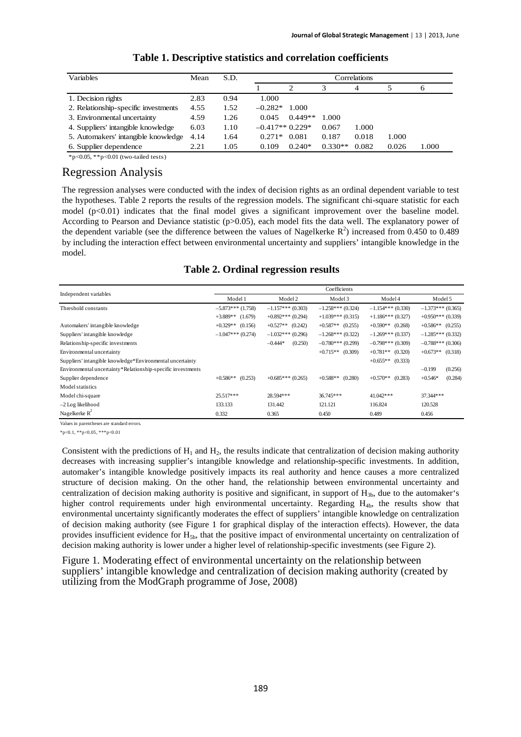| Variables                            | Mean | S.D. | Correlations     |           |           |       |       |       |
|--------------------------------------|------|------|------------------|-----------|-----------|-------|-------|-------|
|                                      |      |      |                  | っ         |           | 4     |       | 6     |
| 1. Decision rights                   | 2.83 | 0.94 | 1.000            |           |           |       |       |       |
| 2. Relationship-specific investments | 4.55 | 1.52 | $-0.282*$        | 1.000     |           |       |       |       |
| 3. Environmental uncertainty         | 4.59 | 1.26 | 0.045            | $0.449**$ | 1.000     |       |       |       |
| 4. Suppliers' intangible knowledge   | 6.03 | 1.10 | $-0.417**0.229*$ |           | 0.067     | 1.000 |       |       |
| 5. Automakers' intangible knowledge  | 4.14 | 1.64 | $0.271*$         | 0.081     | 0.187     | 0.018 | 1.000 |       |
| 6. Supplier dependence               | 2.21 | 1.05 | 0.109            | $0.240*$  | $0.330**$ | 0.082 | 0.026 | 1.000 |

#### **Table 1. Descriptive statistics and correlation coefficients**

\*p<0.05, \*\*p<0.01 (two-tailed tests)

#### Regression Analysis

The regression analyses were conducted with the index of decision rights as an ordinal dependent variable to test the hypotheses. Table 2 reports the results of the regression models. The significant chi-square statistic for each model (p<0.01) indicates that the final model gives a significant improvement over the baseline model. According to Pearson and Deviance statistic (p>0.05), each model fits the data well. The explanatory power of the dependent variable (see the difference between the values of Nagelkerke  $R^2$ ) increased from 0.450 to 0.489 by including the interaction effect between environmental uncertainty and suppliers' intangible knowledge in the model.

**Table 2. Ordinal regression results** 

| Independent variables                                       | Coefficients          |                       |                       |                       |                      |  |  |  |  |
|-------------------------------------------------------------|-----------------------|-----------------------|-----------------------|-----------------------|----------------------|--|--|--|--|
|                                                             | Model 1               | Model 2               | Model 3               | Model 4               | Model 5              |  |  |  |  |
| Threshold constants                                         | $-5.873***$ (1.758)   | $-1.157***$ (0.303)   | $-1.258***$ (0.324)   | $-1.154***(0.330)$    | $-1.373***$ (0.365)  |  |  |  |  |
|                                                             | $+3.889**$ (1.679)    | $+0.892$ *** (0.294)  | $+1.039***$ (0.315)   | $+1.186$ *** (0.327)  | $+0.950***$ (0.339)  |  |  |  |  |
| Automakers' intangible knowledge                            | $+0.329**$<br>(0.156) | $+0.527**$<br>(0.242) | $+0.587**$<br>(0.255) | $+0.590**$ (0.268)    | $+0.586**$ (0.255)   |  |  |  |  |
| Suppliers' intangible knowledge                             | $-1.047***(0.274)$    | $-1.032***(0.296)$    | $-1.268***(0.322)$    | $-1.269***(0.337)$    | $-1.285***(0.332)$   |  |  |  |  |
| Relationship-specific investments                           |                       | $-0.444*$<br>(0.250)  | $-0.780***(0.299)$    | $-0.798***(0.309)$    | $-0.788***$ (0.306)  |  |  |  |  |
| Environmental uncertainty                                   |                       |                       | $+0.715**$<br>(0.309) | $+0.781**$ (0.320)    | $+0.673**$ (0.318)   |  |  |  |  |
| Suppliers' intangible knowledge*Environmental uncertainty   |                       |                       |                       | $+0.655**$ (0.333)    |                      |  |  |  |  |
| Environmental uncertainty*Relationship-specific investments |                       |                       |                       |                       | (0.256)<br>$-0.199$  |  |  |  |  |
| Supplier dependence                                         | $+0.586**$<br>(0.253) | $+0.685***(0.265)$    | $+0.588**$<br>(0.280) | $+0.570**$<br>(0.283) | (0.284)<br>$+0.546*$ |  |  |  |  |
| Model statistics                                            |                       |                       |                       |                       |                      |  |  |  |  |
| Model chi-square                                            | $25.517***$           | 28.594 ***            | 36.745***             | 41.042***             | 37.344***            |  |  |  |  |
| $-2$ Log likelihood                                         | 133.133               | 131.442               | 121.121               | 116.824               | 120.528              |  |  |  |  |
| Nagelkerke $R^2$                                            | 0.332                 | 0.365                 | 0.450                 | 0.489                 | 0.456                |  |  |  |  |

Values in parentheses are standard errors.

\*p<0.1, \*\*p<0.05, \*\*\*p<0.01

Consistent with the predictions of  $H_1$  and  $H_2$ , the results indicate that centralization of decision making authority decreases with increasing supplier's intangible knowledge and relationship-specific investments. In addition, automaker's intangible knowledge positively impacts its real authority and hence causes a more centralized structure of decision making. On the other hand, the relationship between environmental uncertainty and centralization of decision making authority is positive and significant, in support of  $H_{3b}$ , due to the automaker's higher control requirements under high environmental uncertainty. Regarding H<sub>4b</sub>, the results show that environmental uncertainty significantly moderates the effect of suppliers' intangible knowledge on centralization of decision making authority (see Figure 1 for graphical display of the interaction effects). However, the data provides insufficient evidence for  $H_{5b}$ , that the positive impact of environmental uncertainty on centralization of decision making authority is lower under a higher level of relationship-specific investments (see Figure 2).

Figure 1. Moderating effect of environmental uncertainty on the relationship between suppliers' intangible knowledge and centralization of decision making authority (created by utilizing from the ModGraph programme of Jose, 2008)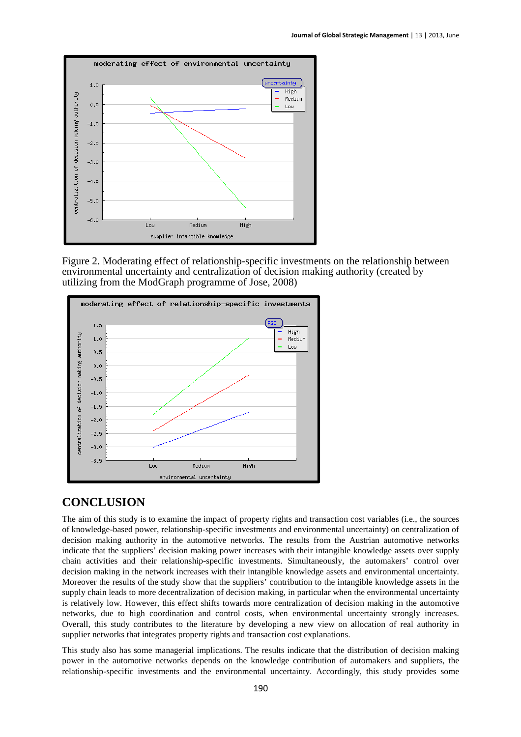

Figure 2. Moderating effect of relationship-specific investments on the relationship between environmental uncertainty and centralization of decision making authority (created by utilizing from the ModGraph programme of Jose, 2008)



### **CONCLUSION**

The aim of this study is to examine the impact of property rights and transaction cost variables (i.e., the sources of knowledge-based power, relationship-specific investments and environmental uncertainty) on centralization of decision making authority in the automotive networks. The results from the Austrian automotive networks indicate that the suppliers' decision making power increases with their intangible knowledge assets over supply chain activities and their relationship-specific investments. Simultaneously, the automakers' control over decision making in the network increases with their intangible knowledge assets and environmental uncertainty. Moreover the results of the study show that the suppliers' contribution to the intangible knowledge assets in the supply chain leads to more decentralization of decision making, in particular when the environmental uncertainty is relatively low. However, this effect shifts towards more centralization of decision making in the automotive networks, due to high coordination and control costs, when environmental uncertainty strongly increases. Overall, this study contributes to the literature by developing a new view on allocation of real authority in supplier networks that integrates property rights and transaction cost explanations.

This study also has some managerial implications. The results indicate that the distribution of decision making power in the automotive networks depends on the knowledge contribution of automakers and suppliers, the relationship-specific investments and the environmental uncertainty. Accordingly, this study provides some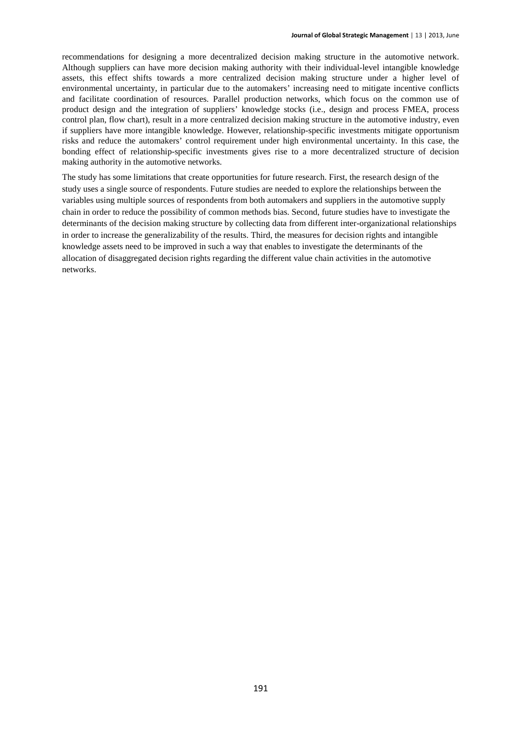recommendations for designing a more decentralized decision making structure in the automotive network. Although suppliers can have more decision making authority with their individual-level intangible knowledge assets, this effect shifts towards a more centralized decision making structure under a higher level of environmental uncertainty, in particular due to the automakers' increasing need to mitigate incentive conflicts and facilitate coordination of resources. Parallel production networks, which focus on the common use of product design and the integration of suppliers' knowledge stocks (i.e., design and process FMEA, process control plan, flow chart), result in a more centralized decision making structure in the automotive industry, even if suppliers have more intangible knowledge. However, relationship-specific investments mitigate opportunism risks and reduce the automakers' control requirement under high environmental uncertainty. In this case, the bonding effect of relationship-specific investments gives rise to a more decentralized structure of decision making authority in the automotive networks.

The study has some limitations that create opportunities for future research. First, the research design of the study uses a single source of respondents. Future studies are needed to explore the relationships between the variables using multiple sources of respondents from both automakers and suppliers in the automotive supply chain in order to reduce the possibility of common methods bias. Second, future studies have to investigate the determinants of the decision making structure by collecting data from different inter-organizational relationships in order to increase the generalizability of the results. Third, the measures for decision rights and intangible knowledge assets need to be improved in such a way that enables to investigate the determinants of the allocation of disaggregated decision rights regarding the different value chain activities in the automotive networks.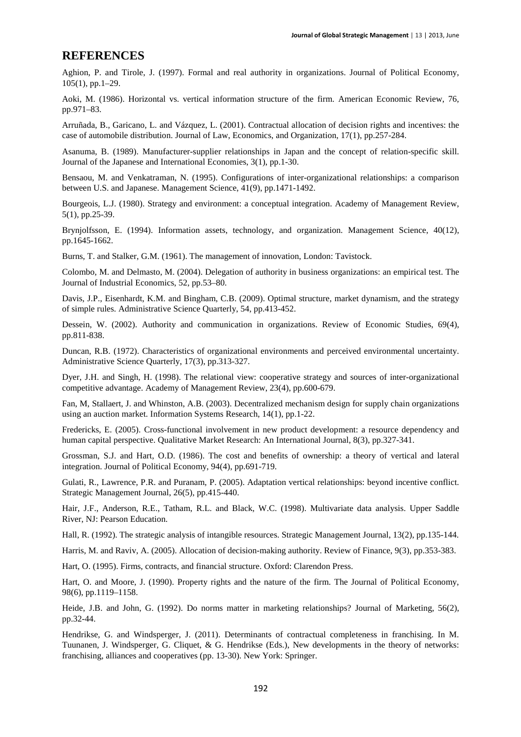#### **REFERENCES**

Aghion, P. and Tirole, J. (1997). Formal and real authority in organizations. Journal of Political Economy, 105(1), pp.1–29.

Aoki, M. (1986). Horizontal vs. vertical information structure of the firm. American Economic Review, 76, pp.971–83.

Arruñada, B., Garicano, L. and Vázquez, L. (2001). Contractual allocation of decision rights and incentives: the case of automobile distribution. Journal of Law, Economics, and Organization, 17(1), pp.257-284.

Asanuma, B. (1989). Manufacturer-supplier relationships in Japan and the concept of relation-specific skill. Journal of the Japanese and International Economies, 3(1), pp.1-30.

Bensaou, M. and Venkatraman, N. (1995). Configurations of inter-organizational relationships: a comparison between U.S. and Japanese. Management Science, 41(9), pp.1471-1492.

Bourgeois, L.J. (1980). Strategy and environment: a conceptual integration. Academy of Management Review, 5(1), pp.25-39.

Brynjolfsson, E. (1994). Information assets, technology, and organization. Management Science, 40(12), pp.1645-1662.

Burns, T. and Stalker, G.M. (1961). The management of innovation, London: Tavistock.

Colombo, M. and Delmasto, M. (2004). Delegation of authority in business organizations: an empirical test. The Journal of Industrial Economics, 52, pp.53–80.

Davis, J.P., Eisenhardt, K.M. and Bingham, C.B. (2009). Optimal structure, market dynamism, and the strategy of simple rules. Administrative Science Quarterly, 54, pp.413-452.

Dessein, W. (2002). Authority and communication in organizations. Review of Economic Studies, 69(4), pp.811-838.

Duncan, R.B. (1972). Characteristics of organizational environments and perceived environmental uncertainty. Administrative Science Quarterly, 17(3), pp.313-327.

Dyer, J.H. and Singh, H. (1998). The relational view: cooperative strategy and sources of inter-organizational competitive advantage. Academy of Management Review, 23(4), pp.600-679.

Fan, M, Stallaert, J. and Whinston, A.B. (2003). Decentralized mechanism design for supply chain organizations using an auction market. Information Systems Research, 14(1), pp.1-22.

Fredericks, E. (2005). Cross-functional involvement in new product development: a resource dependency and human capital perspective. Qualitative Market Research: An International Journal, 8(3), pp.327-341.

Grossman, S.J. and Hart, O.D. (1986). The cost and benefits of ownership: a theory of vertical and lateral integration. Journal of Political Economy, 94(4), pp.691-719.

Gulati, R., Lawrence, P.R. and Puranam, P. (2005). Adaptation vertical relationships: beyond incentive conflict. Strategic Management Journal, 26(5), pp.415-440.

Hair, J.F., Anderson, R.E., Tatham, R.L. and Black, W.C. (1998). Multivariate data analysis. Upper Saddle River, NJ: Pearson Education.

Hall, R. (1992). The strategic analysis of intangible resources. Strategic Management Journal, 13(2), pp.135-144.

Harris, M. and Raviv, A. (2005). Allocation of decision-making authority. Review of Finance, 9(3), pp.353-383.

Hart, O. (1995). Firms, contracts, and financial structure. Oxford: Clarendon Press.

Hart, O. and Moore, J. (1990). Property rights and the nature of the firm. The Journal of Political Economy, 98(6), pp.1119–1158.

Heide, J.B. and John, G. (1992). Do norms matter in marketing relationships? Journal of Marketing, 56(2), pp.32-44.

Hendrikse, G. and Windsperger, J. (2011). Determinants of contractual completeness in franchising. In M. Tuunanen, J. Windsperger, G. Cliquet, & G. Hendrikse (Eds.), New developments in the theory of networks: franchising, alliances and cooperatives (pp. 13-30). New York: Springer.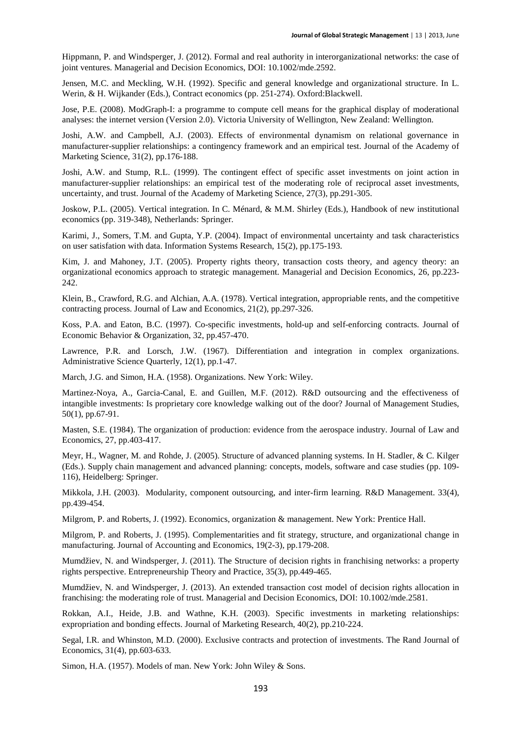Hippmann, P. and Windsperger, J. (2012). Formal and real authority in interorganizational networks: the case of joint ventures. Managerial and Decision Economics, DOI: 10.1002/mde.2592.

Jensen, M.C. and Meckling, W.H. (1992). Specific and general knowledge and organizational structure. In L. Werin, & H. Wijkander (Eds.), Contract economics (pp. 251-274). Oxford:Blackwell.

Jose, P.E. (2008). ModGraph-I: a programme to compute cell means for the graphical display of moderational analyses: the internet version (Version 2.0). Victoria University of Wellington, New Zealand: Wellington.

Joshi, A.W. and Campbell, A.J. (2003). Effects of environmental dynamism on relational governance in manufacturer-supplier relationships: a contingency framework and an empirical test. Journal of the Academy of Marketing Science, 31(2), pp.176-188.

Joshi, A.W. and Stump, R.L. (1999). The contingent effect of specific asset investments on joint action in manufacturer-supplier relationships: an empirical test of the moderating role of reciprocal asset investments, uncertainty, and trust. Journal of the Academy of Marketing Science, 27(3), pp.291-305.

Joskow, P.L. (2005). Vertical integration. In C. Ménard, & M.M. Shirley (Eds.), Handbook of new institutional economics (pp. 319-348), Netherlands: Springer.

Karimi, J., Somers, T.M. and Gupta, Y.P. (2004). Impact of environmental uncertainty and task characteristics on user satisfation with data. Information Systems Research, 15(2), pp.175-193.

Kim, J. and Mahoney, J.T. (2005). Property rights theory, transaction costs theory, and agency theory: an organizational economics approach to strategic management. Managerial and Decision Economics, 26, pp.223- 242.

Klein, B., Crawford, R.G. and Alchian, A.A. (1978). Vertical integration, appropriable rents, and the competitive contracting process. Journal of Law and Economics, 21(2), pp.297-326.

Koss, P.A. and Eaton, B.C. (1997). Co-specific investments, hold-up and self-enforcing contracts. Journal of Economic Behavior & Organization, 32, pp.457-470.

Lawrence, P.R. and Lorsch, J.W. (1967). Differentiation and integration in complex organizations. Administrative Science Quarterly, 12(1), pp.1-47.

March, J.G. and Simon, H.A. (1958). Organizations. New York: Wiley.

Martinez-Noya, A., Garcia-Canal, E. and Guillen, M.F. (2012). R&D outsourcing and the effectiveness of intangible investments: Is proprietary core knowledge walking out of the door? Journal of Management Studies, 50(1), pp.67-91.

Masten, S.E. (1984). The organization of production: evidence from the aerospace industry. Journal of Law and Economics, 27, pp.403-417.

Meyr, H., Wagner, M. and Rohde, J. (2005). Structure of advanced planning systems. In H. Stadler, & C. Kilger (Eds.). Supply chain management and advanced planning: concepts, models, software and case studies (pp. 109- 116), Heidelberg: Springer.

Mikkola, J.H. (2003). Modularity, component outsourcing, and inter-firm learning. R&D Management. 33(4), pp.439-454.

Milgrom, P. and Roberts, J. (1992). Economics, organization & management. New York: Prentice Hall.

Milgrom, P. and Roberts, J. (1995). Complementarities and fit strategy, structure, and organizational change in manufacturing. Journal of Accounting and Economics, 19(2-3), pp.179-208.

Mumdžiev, N. and Windsperger, J. (2011). The Structure of decision rights in franchising networks: a property rights perspective. Entrepreneurship Theory and Practice, 35(3), pp.449-465.

Mumdžiev, N. and Windsperger, J. (2013). An extended transaction cost model of decision rights allocation in franchising: the moderating role of trust. Managerial and Decision Economics, DOI: 10.1002/mde.2581.

Rokkan, A.I., Heide, J.B. and Wathne, K.H. (2003). Specific investments in marketing relationships: expropriation and bonding effects. Journal of Marketing Research, 40(2), pp.210-224.

Segal, I.R. and Whinston, M.D. (2000). Exclusive contracts and protection of investments. The Rand Journal of Economics, 31(4), pp.603-633.

Simon, H.A. (1957). Models of man. New York: John Wiley & Sons.